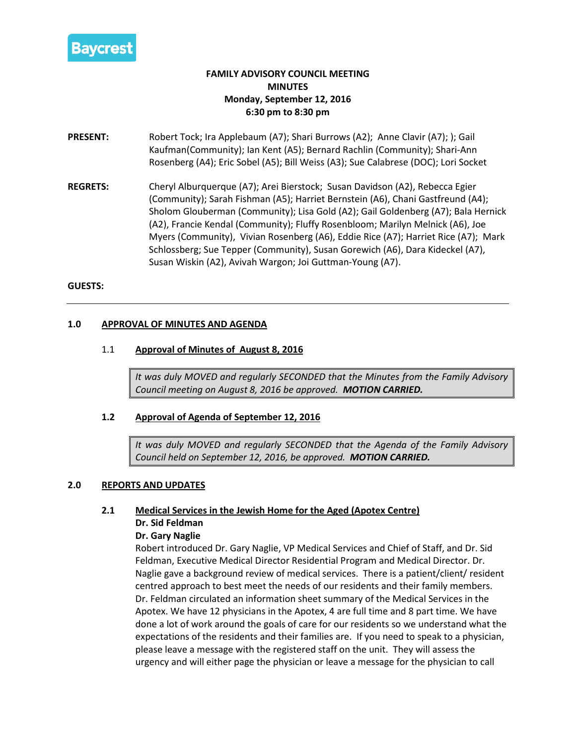

# **FAMILY ADVISORY COUNCIL MEETING MINUTES Monday, September 12, 2016 6:30 pm to 8:30 pm**

- **PRESENT:** Robert Tock; Ira Applebaum (A7); Shari Burrows (A2); Anne Clavir (A7); ); Gail Kaufman(Community); Ian Kent (A5); Bernard Rachlin (Community); Shari-Ann Rosenberg (A4); Eric Sobel (A5); Bill Weiss (A3); Sue Calabrese (DOC); Lori Socket
- **REGRETS:** Cheryl Alburquerque (A7); Arei Bierstock; Susan Davidson (A2), Rebecca Egier (Community); Sarah Fishman (A5); Harriet Bernstein (A6), Chani Gastfreund (A4); Sholom Glouberman (Community); Lisa Gold (A2); Gail Goldenberg (A7); Bala Hernick (A2), Francie Kendal (Community); Fluffy Rosenbloom; Marilyn Melnick (A6), Joe Myers (Community), Vivian Rosenberg (A6), Eddie Rice (A7); Harriet Rice (A7); Mark Schlossberg; Sue Tepper (Community), Susan Gorewich (A6), Dara Kideckel (A7), Susan Wiskin (A2), Avivah Wargon; Joi Guttman-Young (A7).

### **GUESTS:**

### **1.0 APPROVAL OF MINUTES AND AGENDA**

### 1.1 **Approval of Minutes of August 8, 2016**

*It was duly MOVED and regularly SECONDED that the Minutes from the Family Advisory Council meeting on August 8, 2016 be approved. MOTION CARRIED.*

### **1.2 Approval of Agenda of September 12, 2016**

*It was duly MOVED and regularly SECONDED that the Agenda of the Family Advisory Council held on September 12, 2016, be approved. MOTION CARRIED.*

### **2.0 REPORTS AND UPDATES**

# **2.1 Medical Services in the Jewish Home for the Aged (Apotex Centre) Dr. Sid Feldman**

### **Dr. Gary Naglie**

Robert introduced Dr. Gary Naglie, VP Medical Services and Chief of Staff, and Dr. Sid Feldman, Executive Medical Director Residential Program and Medical Director. Dr. Naglie gave a background review of medical services. There is a patient/client/ resident centred approach to best meet the needs of our residents and their family members. Dr. Feldman circulated an information sheet summary of the Medical Services in the Apotex. We have 12 physicians in the Apotex, 4 are full time and 8 part time. We have done a lot of work around the goals of care for our residents so we understand what the expectations of the residents and their families are. If you need to speak to a physician, please leave a message with the registered staff on the unit. They will assess the urgency and will either page the physician or leave a message for the physician to call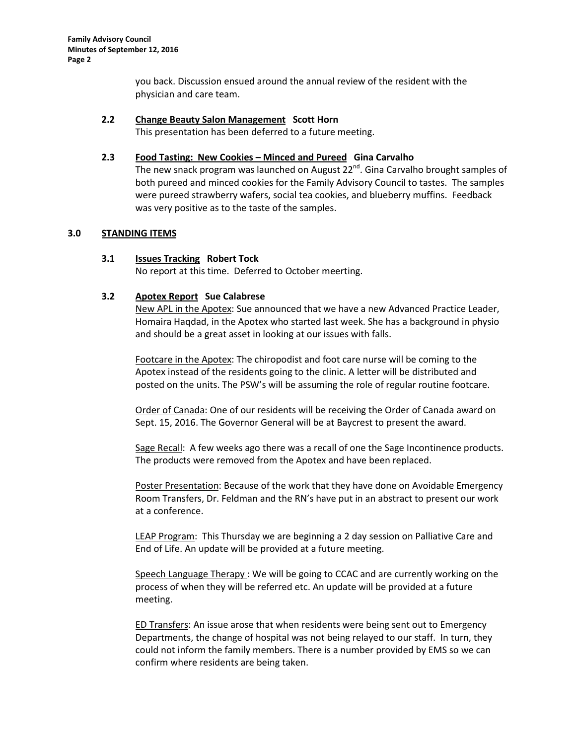you back. Discussion ensued around the annual review of the resident with the physician and care team.

# **2.2 Change Beauty Salon Management Scott Horn**

This presentation has been deferred to a future meeting.

# **2.3 Food Tasting: New Cookies – Minced and Pureed Gina Carvalho**

The new snack program was launched on August 22<sup>nd</sup>. Gina Carvalho brought samples of both pureed and minced cookies for the Family Advisory Council to tastes. The samples were pureed strawberry wafers, social tea cookies, and blueberry muffins. Feedback was very positive as to the taste of the samples.

# **3.0 STANDING ITEMS**

# **3.1 Issues Tracking Robert Tock**

No report at this time. Deferred to October meerting.

# **3.2 Apotex Report Sue Calabrese**

New APL in the Apotex: Sue announced that we have a new Advanced Practice Leader, Homaira Haqdad, in the Apotex who started last week. She has a background in physio and should be a great asset in looking at our issues with falls.

Footcare in the Apotex: The chiropodist and foot care nurse will be coming to the Apotex instead of the residents going to the clinic. A letter will be distributed and posted on the units. The PSW's will be assuming the role of regular routine footcare.

Order of Canada: One of our residents will be receiving the Order of Canada award on Sept. 15, 2016. The Governor General will be at Baycrest to present the award.

Sage Recall: A few weeks ago there was a recall of one the Sage Incontinence products. The products were removed from the Apotex and have been replaced.

Poster Presentation: Because of the work that they have done on Avoidable Emergency Room Transfers, Dr. Feldman and the RN's have put in an abstract to present our work at a conference.

LEAP Program: This Thursday we are beginning a 2 day session on Palliative Care and End of Life. An update will be provided at a future meeting.

Speech Language Therapy : We will be going to CCAC and are currently working on the process of when they will be referred etc. An update will be provided at a future meeting.

ED Transfers: An issue arose that when residents were being sent out to Emergency Departments, the change of hospital was not being relayed to our staff. In turn, they could not inform the family members. There is a number provided by EMS so we can confirm where residents are being taken.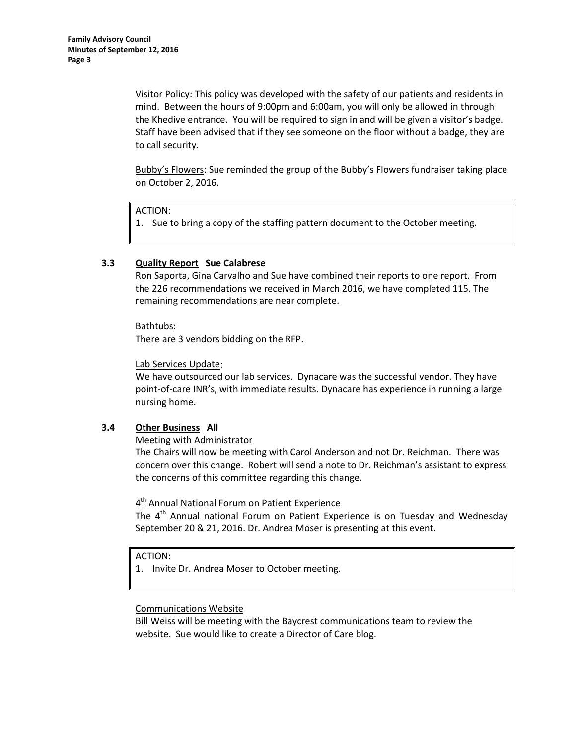Visitor Policy: This policy was developed with the safety of our patients and residents in mind. Between the hours of 9:00pm and 6:00am, you will only be allowed in through the Khedive entrance. You will be required to sign in and will be given a visitor's badge. Staff have been advised that if they see someone on the floor without a badge, they are to call security.

Bubby's Flowers: Sue reminded the group of the Bubby's Flowers fundraiser taking place on October 2, 2016.

ACTION:

1. Sue to bring a copy of the staffing pattern document to the October meeting.

# **3.3 Quality Report Sue Calabrese**

Ron Saporta, Gina Carvalho and Sue have combined their reports to one report. From the 226 recommendations we received in March 2016, we have completed 115. The remaining recommendations are near complete.

Bathtubs:

There are 3 vendors bidding on the RFP.

Lab Services Update:

We have outsourced our lab services. Dynacare was the successful vendor. They have point-of-care INR's, with immediate results. Dynacare has experience in running a large nursing home.

# **3.4 Other Business All**

### Meeting with Administrator

The Chairs will now be meeting with Carol Anderson and not Dr. Reichman. There was concern over this change. Robert will send a note to Dr. Reichman's assistant to express the concerns of this committee regarding this change.

# 4<sup>th</sup> Annual National Forum on Patient Experience

The 4<sup>th</sup> Annual national Forum on Patient Experience is on Tuesday and Wednesday September 20 & 21, 2016. Dr. Andrea Moser is presenting at this event.

ACTION:

1. Invite Dr. Andrea Moser to October meeting.

### Communications Website

Bill Weiss will be meeting with the Baycrest communications team to review the website. Sue would like to create a Director of Care blog.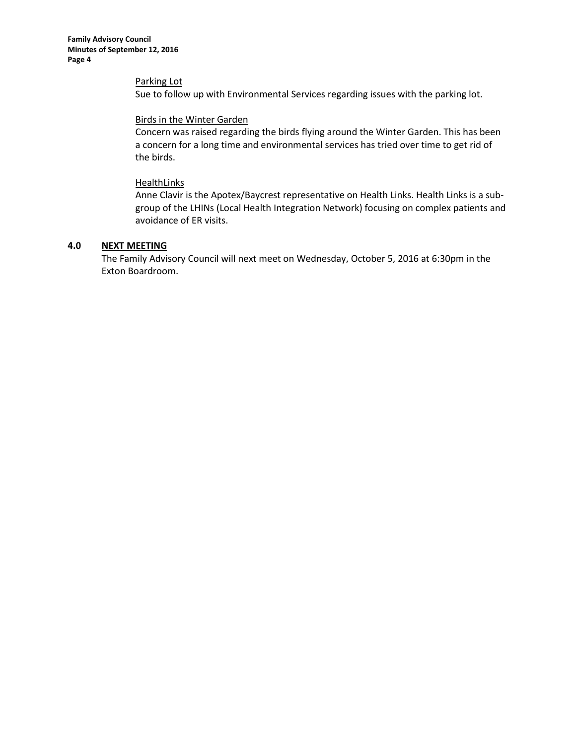**Family Advisory Council Minutes of September 12, 2016 Page 4**

Parking Lot

Sue to follow up with Environmental Services regarding issues with the parking lot.

### Birds in the Winter Garden

Concern was raised regarding the birds flying around the Winter Garden. This has been a concern for a long time and environmental services has tried over time to get rid of the birds.

### **HealthLinks**

Anne Clavir is the Apotex/Baycrest representative on Health Links. Health Links is a subgroup of the LHINs (Local Health Integration Network) focusing on complex patients and avoidance of ER visits.

# **4.0 NEXT MEETING**

The Family Advisory Council will next meet on Wednesday, October 5, 2016 at 6:30pm in the Exton Boardroom.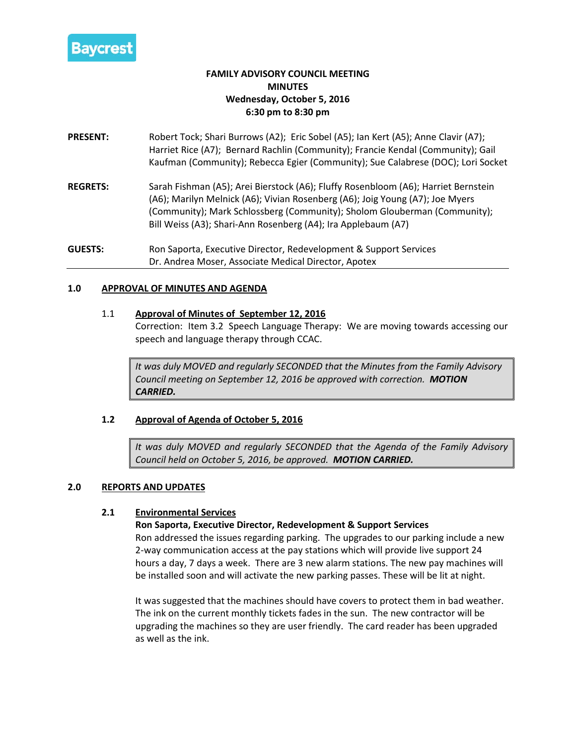

# **FAMILY ADVISORY COUNCIL MEETING MINUTES Wednesday, October 5, 2016 6:30 pm to 8:30 pm**

- **PRESENT:** Robert Tock; Shari Burrows (A2); Eric Sobel (A5); Ian Kert (A5); Anne Clavir (A7); Harriet Rice (A7); Bernard Rachlin (Community); Francie Kendal (Community); Gail Kaufman (Community); Rebecca Egier (Community); Sue Calabrese (DOC); Lori Socket
- **REGRETS:** Sarah Fishman (A5); Arei Bierstock (A6); Fluffy Rosenbloom (A6); Harriet Bernstein (A6); Marilyn Melnick (A6); Vivian Rosenberg (A6); Joig Young (A7); Joe Myers (Community); Mark Schlossberg (Community); Sholom Glouberman (Community); Bill Weiss (A3); Shari-Ann Rosenberg (A4); Ira Applebaum (A7)

**GUESTS:** Ron Saporta, Executive Director, Redevelopment & Support Services Dr. Andrea Moser, Associate Medical Director, Apotex

# **1.0 APPROVAL OF MINUTES AND AGENDA**

# 1.1 **Approval of Minutes of September 12, 2016**

Correction: Item 3.2 Speech Language Therapy: We are moving towards accessing our speech and language therapy through CCAC.

*It was duly MOVED and regularly SECONDED that the Minutes from the Family Advisory Council meeting on September 12, 2016 be approved with correction. MOTION CARRIED.*

# **1.2 Approval of Agenda of October 5, 2016**

*It was duly MOVED and regularly SECONDED that the Agenda of the Family Advisory Council held on October 5, 2016, be approved. MOTION CARRIED.*

# **2.0 REPORTS AND UPDATES**

# **2.1 Environmental Services**

# **Ron Saporta, Executive Director, Redevelopment & Support Services**

Ron addressed the issues regarding parking. The upgrades to our parking include a new 2-way communication access at the pay stations which will provide live support 24 hours a day, 7 days a week. There are 3 new alarm stations. The new pay machines will be installed soon and will activate the new parking passes. These will be lit at night.

It was suggested that the machines should have covers to protect them in bad weather. The ink on the current monthly tickets fades in the sun. The new contractor will be upgrading the machines so they are user friendly. The card reader has been upgraded as well as the ink.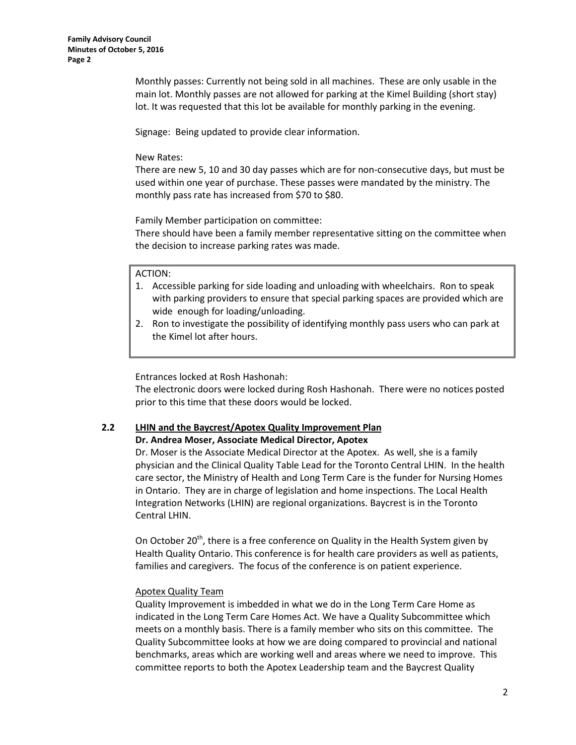Monthly passes: Currently not being sold in all machines. These are only usable in the main lot. Monthly passes are not allowed for parking at the Kimel Building (short stay) lot. It was requested that this lot be available for monthly parking in the evening.

Signage: Being updated to provide clear information.

# New Rates:

There are new 5, 10 and 30 day passes which are for non-consecutive days, but must be used within one year of purchase. These passes were mandated by the ministry. The monthly pass rate has increased from \$70 to \$80.

Family Member participation on committee:

There should have been a family member representative sitting on the committee when the decision to increase parking rates was made.

### ACTION:

- 1. Accessible parking for side loading and unloading with wheelchairs. Ron to speak with parking providers to ensure that special parking spaces are provided which are wide enough for loading/unloading.
- 2. Ron to investigate the possibility of identifying monthly pass users who can park at the Kimel lot after hours.

Entrances locked at Rosh Hashonah:

The electronic doors were locked during Rosh Hashonah. There were no notices posted prior to this time that these doors would be locked.

# **2.2 LHIN and the Baycrest/Apotex Quality Improvement Plan**

**Dr. Andrea Moser, Associate Medical Director, Apotex**

Dr. Moser is the Associate Medical Director at the Apotex. As well, she is a family physician and the Clinical Quality Table Lead for the Toronto Central LHIN. In the health care sector, the Ministry of Health and Long Term Care is the funder for Nursing Homes in Ontario. They are in charge of legislation and home inspections. The Local Health Integration Networks (LHIN) are regional organizations. Baycrest is in the Toronto Central LHIN.

On October  $20<sup>th</sup>$ , there is a free conference on Quality in the Health System given by Health Quality Ontario. This conference is for health care providers as well as patients, families and caregivers. The focus of the conference is on patient experience.

# Apotex Quality Team

Quality Improvement is imbedded in what we do in the Long Term Care Home as indicated in the Long Term Care Homes Act. We have a Quality Subcommittee which meets on a monthly basis. There is a family member who sits on this committee. The Quality Subcommittee looks at how we are doing compared to provincial and national benchmarks, areas which are working well and areas where we need to improve. This committee reports to both the Apotex Leadership team and the Baycrest Quality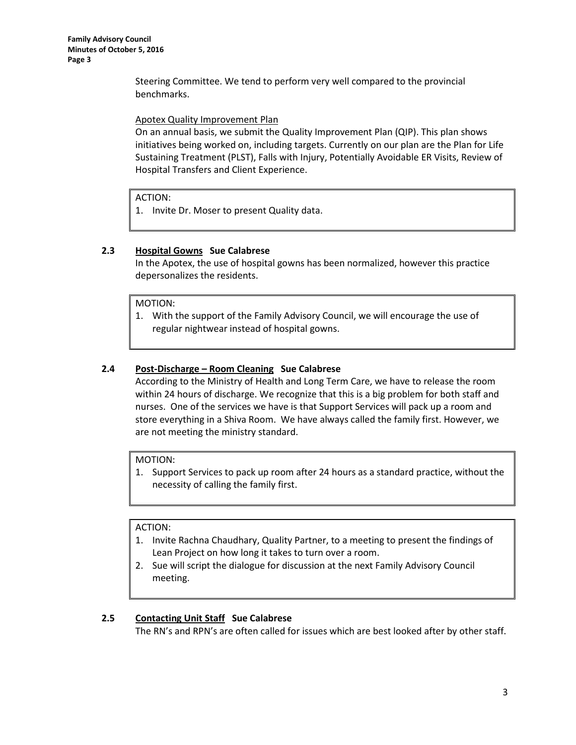Steering Committee. We tend to perform very well compared to the provincial benchmarks.

Apotex Quality Improvement Plan

On an annual basis, we submit the Quality Improvement Plan (QIP). This plan shows initiatives being worked on, including targets. Currently on our plan are the Plan for Life Sustaining Treatment (PLST), Falls with Injury, Potentially Avoidable ER Visits, Review of Hospital Transfers and Client Experience.

ACTION:

1. Invite Dr. Moser to present Quality data.

# **2.3 Hospital Gowns Sue Calabrese**

In the Apotex, the use of hospital gowns has been normalized, however this practice depersonalizes the residents.

MOTION:

1. With the support of the Family Advisory Council, we will encourage the use of regular nightwear instead of hospital gowns.

# **2.4 Post-Discharge – Room Cleaning Sue Calabrese**

According to the Ministry of Health and Long Term Care, we have to release the room within 24 hours of discharge. We recognize that this is a big problem for both staff and nurses. One of the services we have is that Support Services will pack up a room and store everything in a Shiva Room. We have always called the family first. However, we are not meeting the ministry standard.

### MOTION:

1. Support Services to pack up room after 24 hours as a standard practice, without the necessity of calling the family first.

# ACTION:

- 1. Invite Rachna Chaudhary, Quality Partner, to a meeting to present the findings of Lean Project on how long it takes to turn over a room.
- 2. Sue will script the dialogue for discussion at the next Family Advisory Council meeting.

# **2.5 Contacting Unit Staff Sue Calabrese**

The RN's and RPN's are often called for issues which are best looked after by other staff.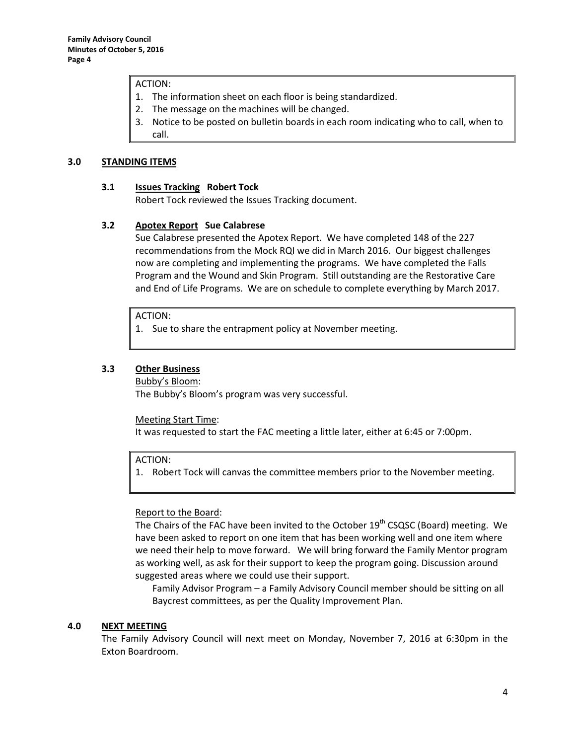### ACTION:

- 1. The information sheet on each floor is being standardized.
- 2. The message on the machines will be changed.
- 3. Notice to be posted on bulletin boards in each room indicating who to call, when to call.

#### **3.0 STANDING ITEMS**

#### **3.1 Issues Tracking Robert Tock**

Robert Tock reviewed the Issues Tracking document.

### **3.2 Apotex Report Sue Calabrese**

Sue Calabrese presented the Apotex Report. We have completed 148 of the 227 recommendations from the Mock RQI we did in March 2016. Our biggest challenges now are completing and implementing the programs. We have completed the Falls Program and the Wound and Skin Program. Still outstanding are the Restorative Care and End of Life Programs. We are on schedule to complete everything by March 2017.

ACTION:

1. Sue to share the entrapment policy at November meeting.

### **3.3 Other Business**

#### Bubby's Bloom:

The Bubby's Bloom's program was very successful.

#### Meeting Start Time:

It was requested to start the FAC meeting a little later, either at 6:45 or 7:00pm.

ACTION:

1. Robert Tock will canvas the committee members prior to the November meeting.

### Report to the Board:

The Chairs of the FAC have been invited to the October  $19<sup>th</sup>$  CSQSC (Board) meeting. We have been asked to report on one item that has been working well and one item where we need their help to move forward. We will bring forward the Family Mentor program as working well, as ask for their support to keep the program going. Discussion around suggested areas where we could use their support.

Family Advisor Program – a Family Advisory Council member should be sitting on all Baycrest committees, as per the Quality Improvement Plan.

### **4.0 NEXT MEETING**

The Family Advisory Council will next meet on Monday, November 7, 2016 at 6:30pm in the Exton Boardroom.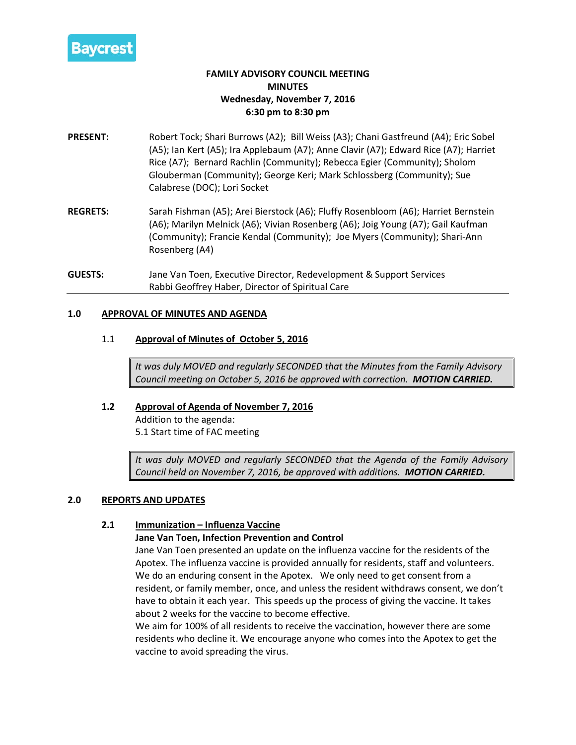

# **FAMILY ADVISORY COUNCIL MEETING MINUTES Wednesday, November 7, 2016 6:30 pm to 8:30 pm**

- **PRESENT:** Robert Tock; Shari Burrows (A2); Bill Weiss (A3); Chani Gastfreund (A4); Eric Sobel (A5); Ian Kert (A5); Ira Applebaum (A7); Anne Clavir (A7); Edward Rice (A7); Harriet Rice (A7); Bernard Rachlin (Community); Rebecca Egier (Community); Sholom Glouberman (Community); George Keri; Mark Schlossberg (Community); Sue Calabrese (DOC); Lori Socket
- **REGRETS:** Sarah Fishman (A5); Arei Bierstock (A6); Fluffy Rosenbloom (A6); Harriet Bernstein (A6); Marilyn Melnick (A6); Vivian Rosenberg (A6); Joig Young (A7); Gail Kaufman (Community); Francie Kendal (Community); Joe Myers (Community); Shari-Ann Rosenberg (A4)
- **GUESTS:** Jane Van Toen, Executive Director, Redevelopment & Support Services Rabbi Geoffrey Haber, Director of Spiritual Care

# **1.0 APPROVAL OF MINUTES AND AGENDA**

# 1.1 **Approval of Minutes of October 5, 2016**

*It was duly MOVED and regularly SECONDED that the Minutes from the Family Advisory Council meeting on October 5, 2016 be approved with correction. MOTION CARRIED.*

# **1.2 Approval of Agenda of November 7, 2016**

Addition to the agenda: 5.1 Start time of FAC meeting

*It was duly MOVED and regularly SECONDED that the Agenda of the Family Advisory Council held on November 7, 2016, be approved with additions. MOTION CARRIED.*

# **2.0 REPORTS AND UPDATES**

# **2.1 Immunization – Influenza Vaccine**

# **Jane Van Toen, Infection Prevention and Control**

Jane Van Toen presented an update on the influenza vaccine for the residents of the Apotex. The influenza vaccine is provided annually for residents, staff and volunteers. We do an enduring consent in the Apotex. We only need to get consent from a resident, or family member, once, and unless the resident withdraws consent, we don't have to obtain it each year. This speeds up the process of giving the vaccine. It takes about 2 weeks for the vaccine to become effective.

We aim for 100% of all residents to receive the vaccination, however there are some residents who decline it. We encourage anyone who comes into the Apotex to get the vaccine to avoid spreading the virus.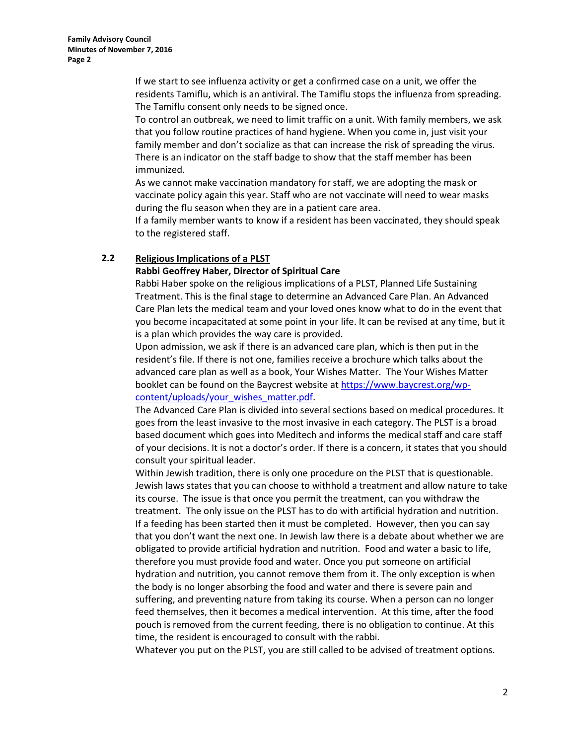If we start to see influenza activity or get a confirmed case on a unit, we offer the residents Tamiflu, which is an antiviral. The Tamiflu stops the influenza from spreading. The Tamiflu consent only needs to be signed once.

To control an outbreak, we need to limit traffic on a unit. With family members, we ask that you follow routine practices of hand hygiene. When you come in, just visit your family member and don't socialize as that can increase the risk of spreading the virus. There is an indicator on the staff badge to show that the staff member has been immunized.

As we cannot make vaccination mandatory for staff, we are adopting the mask or vaccinate policy again this year. Staff who are not vaccinate will need to wear masks during the flu season when they are in a patient care area.

If a family member wants to know if a resident has been vaccinated, they should speak to the registered staff.

# **2.2 Religious Implications of a PLST**

# **Rabbi Geoffrey Haber, Director of Spiritual Care**

Rabbi Haber spoke on the religious implications of a PLST, Planned Life Sustaining Treatment. This is the final stage to determine an Advanced Care Plan. An Advanced Care Plan lets the medical team and your loved ones know what to do in the event that you become incapacitated at some point in your life. It can be revised at any time, but it is a plan which provides the way care is provided.

Upon admission, we ask if there is an advanced care plan, which is then put in the resident's file. If there is not one, families receive a brochure which talks about the advanced care plan as well as a book, Your Wishes Matter. The Your Wishes Matter booklet can be found on the Baycrest website a[t https://www.baycrest.org/wp](https://www.baycrest.org/wp-content/uploads/your_wishes_matter.pdf)[content/uploads/your\\_wishes\\_matter.pdf.](https://www.baycrest.org/wp-content/uploads/your_wishes_matter.pdf)

The Advanced Care Plan is divided into several sections based on medical procedures. It goes from the least invasive to the most invasive in each category. The PLST is a broad based document which goes into Meditech and informs the medical staff and care staff of your decisions. It is not a doctor's order. If there is a concern, it states that you should consult your spiritual leader.

Within Jewish tradition, there is only one procedure on the PLST that is questionable. Jewish laws states that you can choose to withhold a treatment and allow nature to take its course. The issue is that once you permit the treatment, can you withdraw the treatment. The only issue on the PLST has to do with artificial hydration and nutrition. If a feeding has been started then it must be completed. However, then you can say that you don't want the next one. In Jewish law there is a debate about whether we are obligated to provide artificial hydration and nutrition. Food and water a basic to life, therefore you must provide food and water. Once you put someone on artificial hydration and nutrition, you cannot remove them from it. The only exception is when the body is no longer absorbing the food and water and there is severe pain and suffering, and preventing nature from taking its course. When a person can no longer feed themselves, then it becomes a medical intervention. At this time, after the food pouch is removed from the current feeding, there is no obligation to continue. At this time, the resident is encouraged to consult with the rabbi.

Whatever you put on the PLST, you are still called to be advised of treatment options.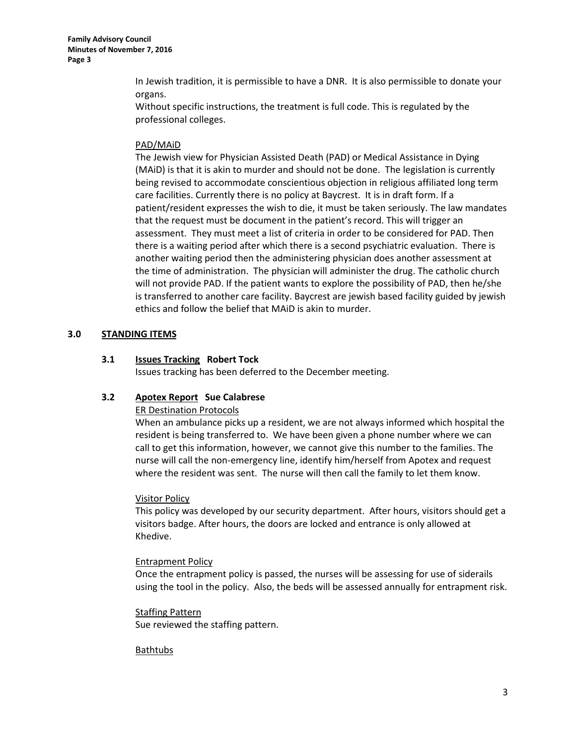In Jewish tradition, it is permissible to have a DNR. It is also permissible to donate your organs.

Without specific instructions, the treatment is full code. This is regulated by the professional colleges.

# PAD/MAiD

The Jewish view for Physician Assisted Death (PAD) or Medical Assistance in Dying (MAiD) is that it is akin to murder and should not be done. The legislation is currently being revised to accommodate conscientious objection in religious affiliated long term care facilities. Currently there is no policy at Baycrest. It is in draft form. If a patient/resident expresses the wish to die, it must be taken seriously. The law mandates that the request must be document in the patient's record. This will trigger an assessment. They must meet a list of criteria in order to be considered for PAD. Then there is a waiting period after which there is a second psychiatric evaluation. There is another waiting period then the administering physician does another assessment at the time of administration. The physician will administer the drug. The catholic church will not provide PAD. If the patient wants to explore the possibility of PAD, then he/she is transferred to another care facility. Baycrest are jewish based facility guided by jewish ethics and follow the belief that MAiD is akin to murder.

# **3.0 STANDING ITEMS**

# **3.1 Issues Tracking Robert Tock**

Issues tracking has been deferred to the December meeting.

# **3.2 Apotex Report Sue Calabrese**

### ER Destination Protocols

When an ambulance picks up a resident, we are not always informed which hospital the resident is being transferred to. We have been given a phone number where we can call to get this information, however, we cannot give this number to the families. The nurse will call the non-emergency line, identify him/herself from Apotex and request where the resident was sent. The nurse will then call the family to let them know.

### Visitor Policy

This policy was developed by our security department. After hours, visitors should get a visitors badge. After hours, the doors are locked and entrance is only allowed at Khedive.

### Entrapment Policy

Once the entrapment policy is passed, the nurses will be assessing for use of siderails using the tool in the policy. Also, the beds will be assessed annually for entrapment risk.

Staffing Pattern Sue reviewed the staffing pattern.

### **Bathtubs**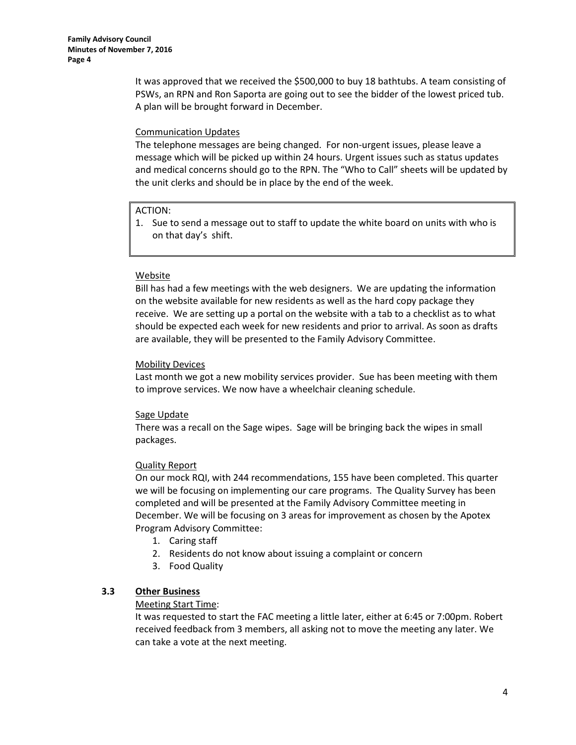It was approved that we received the \$500,000 to buy 18 bathtubs. A team consisting of PSWs, an RPN and Ron Saporta are going out to see the bidder of the lowest priced tub. A plan will be brought forward in December.

# Communication Updates

The telephone messages are being changed. For non-urgent issues, please leave a message which will be picked up within 24 hours. Urgent issues such as status updates and medical concerns should go to the RPN. The "Who to Call" sheets will be updated by the unit clerks and should be in place by the end of the week.

# ACTION:

1. Sue to send a message out to staff to update the white board on units with who is on that day's shift.

# Website

Bill has had a few meetings with the web designers. We are updating the information on the website available for new residents as well as the hard copy package they receive. We are setting up a portal on the website with a tab to a checklist as to what should be expected each week for new residents and prior to arrival. As soon as drafts are available, they will be presented to the Family Advisory Committee.

# Mobility Devices

Last month we got a new mobility services provider. Sue has been meeting with them to improve services. We now have a wheelchair cleaning schedule.

# Sage Update

There was a recall on the Sage wipes. Sage will be bringing back the wipes in small packages.

# Quality Report

On our mock RQI, with 244 recommendations, 155 have been completed. This quarter we will be focusing on implementing our care programs. The Quality Survey has been completed and will be presented at the Family Advisory Committee meeting in December. We will be focusing on 3 areas for improvement as chosen by the Apotex Program Advisory Committee:

- 1. Caring staff
- 2. Residents do not know about issuing a complaint or concern
- 3. Food Quality

# **3.3 Other Business**

### Meeting Start Time:

It was requested to start the FAC meeting a little later, either at 6:45 or 7:00pm. Robert received feedback from 3 members, all asking not to move the meeting any later. We can take a vote at the next meeting.